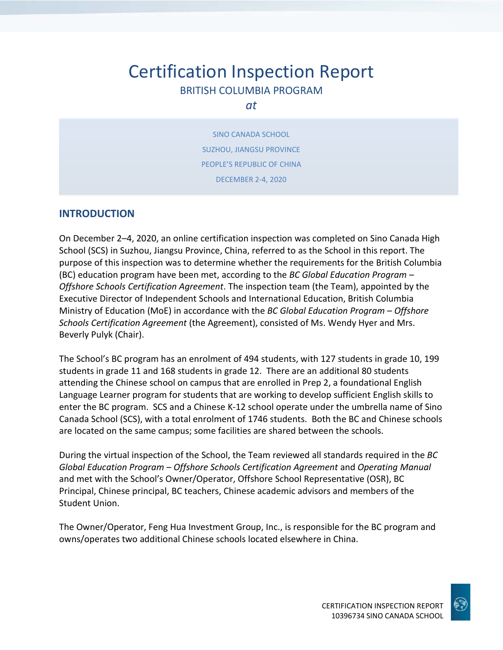# Certification Inspection Report BRITISH COLUMBIA PROGRAM

#### *at*

SINO CANADA SCHOOL SUZHOU, JIANGSU PROVINCE PEOPLE'S REPUBLIC OF CHINA DECEMBER 2-4, 2020

## **INTRODUCTION**

On December 2–4, 2020, an online certification inspection was completed on Sino Canada High School (SCS) in Suzhou, Jiangsu Province, China, referred to as the School in this report. The purpose of this inspection was to determine whether the requirements for the British Columbia (BC) education program have been met, according to the *BC Global Education Program – Offshore Schools Certification Agreement*. The inspection team (the Team), appointed by the Executive Director of Independent Schools and International Education, British Columbia Ministry of Education (MoE) in accordance with the *BC Global Education Program – Offshore Schools Certification Agreement* (the Agreement), consisted of Ms. Wendy Hyer and Mrs. Beverly Pulyk (Chair).

The School's BC program has an enrolment of 494 students, with 127 students in grade 10, 199 students in grade 11 and 168 students in grade 12. There are an additional 80 students attending the Chinese school on campus that are enrolled in Prep 2, a foundational English Language Learner program for students that are working to develop sufficient English skills to enter the BC program. SCS and a Chinese K-12 school operate under the umbrella name of Sino Canada School (SCS), with a total enrolment of 1746 students. Both the BC and Chinese schools are located on the same campus; some facilities are shared between the schools.

During the virtual inspection of the School, the Team reviewed all standards required in the *BC Global Education Program – Offshore Schools Certification Agreement* and *Operating Manual*  and met with the School's Owner/Operator, Offshore School Representative (OSR), BC Principal, Chinese principal, BC teachers, Chinese academic advisors and members of the Student Union.

The Owner/Operator, Feng Hua Investment Group, Inc., is responsible for the BC program and owns/operates two additional Chinese schools located elsewhere in China.

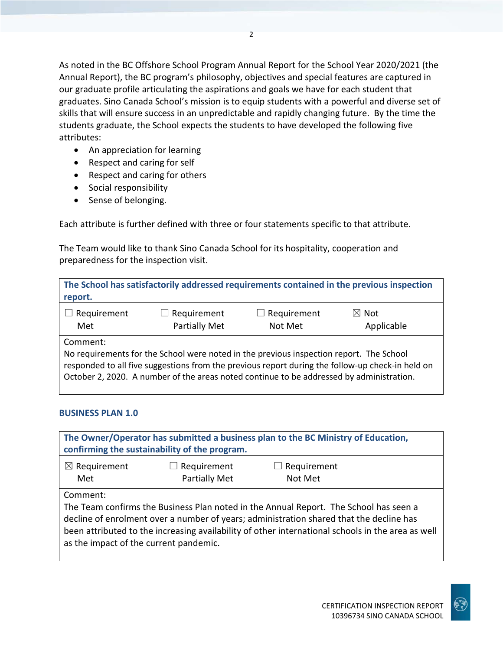As noted in the BC Offshore School Program Annual Report for the School Year 2020/2021 (the Annual Report), the BC program's philosophy, objectives and special features are captured in our graduate profile articulating the aspirations and goals we have for each student that graduates. Sino Canada School's mission is to equip students with a powerful and diverse set of skills that will ensure success in an unpredictable and rapidly changing future. By the time the students graduate, the School expects the students to have developed the following five attributes:

- An appreciation for learning
- Respect and caring for self
- Respect and caring for others
- Social responsibility
- Sense of belonging.

Each attribute is further defined with three or four statements specific to that attribute.

The Team would like to thank Sino Canada School for its hospitality, cooperation and preparedness for the inspection visit.

| report.                                                                                                                                                                                                                                                                                             |                                            |                               | The School has satisfactorily addressed requirements contained in the previous inspection |
|-----------------------------------------------------------------------------------------------------------------------------------------------------------------------------------------------------------------------------------------------------------------------------------------------------|--------------------------------------------|-------------------------------|-------------------------------------------------------------------------------------------|
| $\Box$ Requirement<br>Met                                                                                                                                                                                                                                                                           | $\Box$ Requirement<br><b>Partially Met</b> | $\Box$ Requirement<br>Not Met | $\boxtimes$ Not<br>Applicable                                                             |
| Comment:<br>No requirements for the School were noted in the previous inspection report. The School<br>responded to all five suggestions from the previous report during the follow-up check-in held on<br>October 2, 2020. A number of the areas noted continue to be addressed by administration. |                                            |                               |                                                                                           |

## **BUSINESS PLAN 1.0**

| The Owner/Operator has submitted a business plan to the BC Ministry of Education,<br>confirming the sustainability of the program. |                                                                                                                                                                                                                                                                                       |                               |  |
|------------------------------------------------------------------------------------------------------------------------------------|---------------------------------------------------------------------------------------------------------------------------------------------------------------------------------------------------------------------------------------------------------------------------------------|-------------------------------|--|
| $\boxtimes$ Requirement<br>Met                                                                                                     | $\Box$ Requirement<br><b>Partially Met</b>                                                                                                                                                                                                                                            | $\Box$ Requirement<br>Not Met |  |
| Comment:<br>as the impact of the current pandemic.                                                                                 | The Team confirms the Business Plan noted in the Annual Report. The School has seen a<br>decline of enrolment over a number of years; administration shared that the decline has<br>been attributed to the increasing availability of other international schools in the area as well |                               |  |

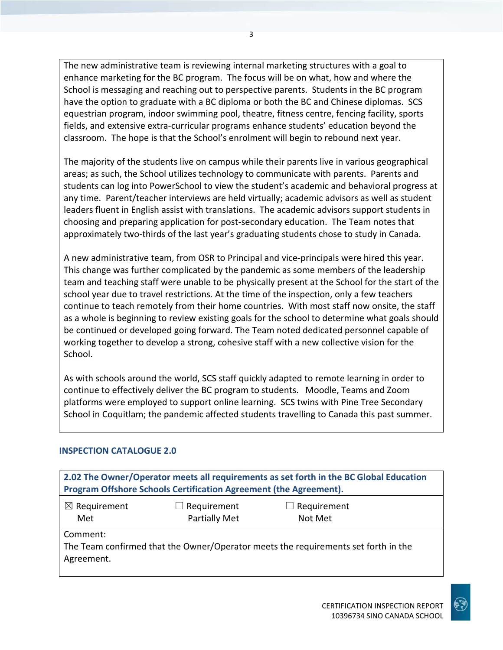The new administrative team is reviewing internal marketing structures with a goal to enhance marketing for the BC program. The focus will be on what, how and where the School is messaging and reaching out to perspective parents. Students in the BC program have the option to graduate with a BC diploma or both the BC and Chinese diplomas. SCS equestrian program, indoor swimming pool, theatre, fitness centre, fencing facility, sports fields, and extensive extra-curricular programs enhance students' education beyond the classroom. The hope is that the School's enrolment will begin to rebound next year.

The majority of the students live on campus while their parents live in various geographical areas; as such, the School utilizes technology to communicate with parents. Parents and students can log into PowerSchool to view the student's academic and behavioral progress at any time. Parent/teacher interviews are held virtually; academic advisors as well as student leaders fluent in English assist with translations. The academic advisors support students in choosing and preparing application for post-secondary education. The Team notes that approximately two-thirds of the last year's graduating students chose to study in Canada.

A new administrative team, from OSR to Principal and vice-principals were hired this year. This change was further complicated by the pandemic as some members of the leadership team and teaching staff were unable to be physically present at the School for the start of the school year due to travel restrictions. At the time of the inspection, only a few teachers continue to teach remotely from their home countries. With most staff now onsite, the staff as a whole is beginning to review existing goals for the school to determine what goals should be continued or developed going forward. The Team noted dedicated personnel capable of working together to develop a strong, cohesive staff with a new collective vision for the School.

As with schools around the world, SCS staff quickly adapted to remote learning in order to continue to effectively deliver the BC program to students. Moodle, Teams and Zoom platforms were employed to support online learning. SCS twins with Pine Tree Secondary School in Coquitlam; the pandemic affected students travelling to Canada this past summer.

#### **INSPECTION CATALOGUE 2.0**

**2.02 The Owner/Operator meets all requirements as set forth in the BC Global Education Program Offshore Schools Certification Agreement (the Agreement).** ☒ Requirement Met  $\Box$  Requirement Partially Met ☐ Requirement Not Met Comment: The Team confirmed that the Owner/Operator meets the requirements set forth in the Agreement.

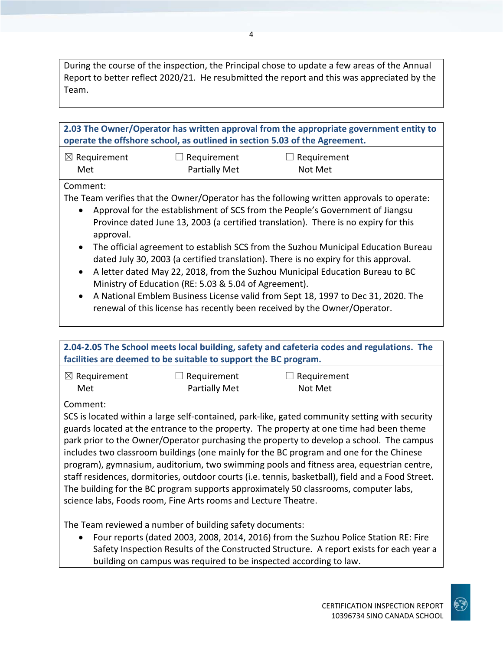During the course of the inspection, the Principal chose to update a few areas of the Annual Report to better reflect 2020/21. He resubmitted the report and this was appreciated by the Team.

**2.03 The Owner/Operator has written approval from the appropriate government entity to operate the offshore school, as outlined in section 5.03 of the Agreement.**

| $\boxtimes$ Requirement | $\Box$ Requirement   | $\Box$ Requirement |
|-------------------------|----------------------|--------------------|
| Met                     | <b>Partially Met</b> | Not Met            |

#### Comment:

The Team verifies that the Owner/Operator has the following written approvals to operate:

- Approval for the establishment of SCS from the People's Government of Jiangsu Province dated June 13, 2003 (a certified translation). There is no expiry for this approval.
- The official agreement to establish SCS from the Suzhou Municipal Education Bureau dated July 30, 2003 (a certified translation). There is no expiry for this approval.
- A letter dated May 22, 2018, from the Suzhou Municipal Education Bureau to BC Ministry of Education (RE: 5.03 & 5.04 of Agreement).
- A National Emblem Business License valid from Sept 18, 1997 to Dec 31, 2020. The renewal of this license has recently been received by the Owner/Operator.

| 2.04-2.05 The School meets local building, safety and cafeteria codes and regulations. The                                                                                                                                                                                                                                                                                                                                                                                                                                                                                                                                                                                                                                                  |                                                                 |             |  |
|---------------------------------------------------------------------------------------------------------------------------------------------------------------------------------------------------------------------------------------------------------------------------------------------------------------------------------------------------------------------------------------------------------------------------------------------------------------------------------------------------------------------------------------------------------------------------------------------------------------------------------------------------------------------------------------------------------------------------------------------|-----------------------------------------------------------------|-------------|--|
|                                                                                                                                                                                                                                                                                                                                                                                                                                                                                                                                                                                                                                                                                                                                             | facilities are deemed to be suitable to support the BC program. |             |  |
| $\boxtimes$ Requirement                                                                                                                                                                                                                                                                                                                                                                                                                                                                                                                                                                                                                                                                                                                     | Requirement                                                     | Requirement |  |
| Met                                                                                                                                                                                                                                                                                                                                                                                                                                                                                                                                                                                                                                                                                                                                         | <b>Partially Met</b>                                            | Not Met     |  |
| Comment:                                                                                                                                                                                                                                                                                                                                                                                                                                                                                                                                                                                                                                                                                                                                    |                                                                 |             |  |
| SCS is located within a large self-contained, park-like, gated community setting with security<br>guards located at the entrance to the property. The property at one time had been theme<br>park prior to the Owner/Operator purchasing the property to develop a school. The campus<br>includes two classroom buildings (one mainly for the BC program and one for the Chinese<br>program), gymnasium, auditorium, two swimming pools and fitness area, equestrian centre,<br>staff residences, dormitories, outdoor courts (i.e. tennis, basketball), field and a Food Street.<br>The building for the BC program supports approximately 50 classrooms, computer labs,<br>science labs, Foods room, Fine Arts rooms and Lecture Theatre. |                                                                 |             |  |
|                                                                                                                                                                                                                                                                                                                                                                                                                                                                                                                                                                                                                                                                                                                                             | The Team reviewed a number of building safety documents:        |             |  |

• Four reports (dated 2003, 2008, 2014, 2016) from the Suzhou Police Station RE: Fire Safety Inspection Results of the Constructed Structure. A report exists for each year a building on campus was required to be inspected according to law.

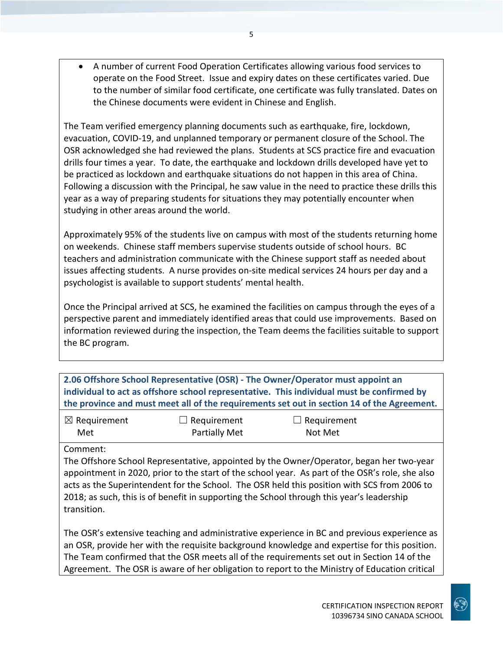• A number of current Food Operation Certificates allowing various food services to operate on the Food Street. Issue and expiry dates on these certificates varied. Due to the number of similar food certificate, one certificate was fully translated. Dates on the Chinese documents were evident in Chinese and English.

The Team verified emergency planning documents such as earthquake, fire, lockdown, evacuation, COVID-19, and unplanned temporary or permanent closure of the School. The OSR acknowledged she had reviewed the plans. Students at SCS practice fire and evacuation drills four times a year. To date, the earthquake and lockdown drills developed have yet to be practiced as lockdown and earthquake situations do not happen in this area of China. Following a discussion with the Principal, he saw value in the need to practice these drills this year as a way of preparing students for situations they may potentially encounter when studying in other areas around the world.

Approximately 95% of the students live on campus with most of the students returning home on weekends. Chinese staff members supervise students outside of school hours. BC teachers and administration communicate with the Chinese support staff as needed about issues affecting students. A nurse provides on-site medical services 24 hours per day and a psychologist is available to support students' mental health.

Once the Principal arrived at SCS, he examined the facilities on campus through the eyes of a perspective parent and immediately identified areas that could use improvements. Based on information reviewed during the inspection, the Team deems the facilities suitable to support the BC program.

**2.06 Offshore School Representative (OSR) - The Owner/Operator must appoint an individual to act as offshore school representative. This individual must be confirmed by the province and must meet all of the requirements set out in section 14 of the Agreement.**

| $\boxtimes$ Requirement | $\Box$ Requirement   | $\Box$ Requirement |
|-------------------------|----------------------|--------------------|
| Met                     | <b>Partially Met</b> | Not Met            |

Comment:

The Offshore School Representative, appointed by the Owner/Operator, began her two-year appointment in 2020, prior to the start of the school year. As part of the OSR's role, she also acts as the Superintendent for the School. The OSR held this position with SCS from 2006 to 2018; as such, this is of benefit in supporting the School through this year's leadership transition.

The OSR's extensive teaching and administrative experience in BC and previous experience as an OSR, provide her with the requisite background knowledge and expertise for this position. The Team confirmed that the OSR meets all of the requirements set out in Section 14 of the Agreement. The OSR is aware of her obligation to report to the Ministry of Education critical

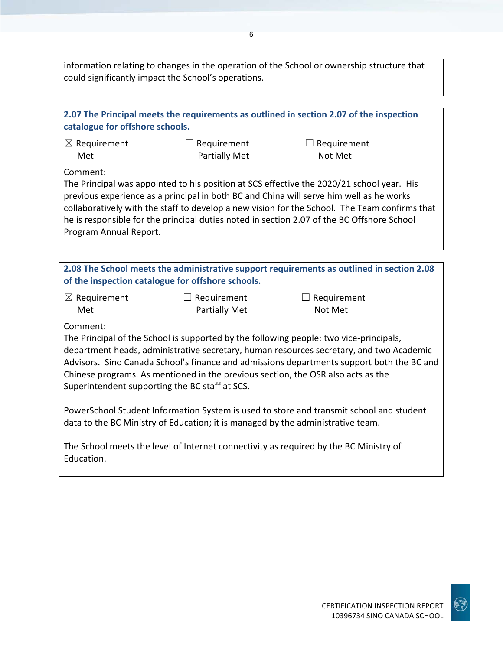information relating to changes in the operation of the School or ownership structure that could significantly impact the School's operations.

| 2.07 The Principal meets the requirements as outlined in section 2.07 of the inspection<br>catalogue for offshore schools.                                                                                                                                                                                                                                                                                                                                                                                                                                                                                                                                                                              |                                                   |                                                                                           |  |
|---------------------------------------------------------------------------------------------------------------------------------------------------------------------------------------------------------------------------------------------------------------------------------------------------------------------------------------------------------------------------------------------------------------------------------------------------------------------------------------------------------------------------------------------------------------------------------------------------------------------------------------------------------------------------------------------------------|---------------------------------------------------|-------------------------------------------------------------------------------------------|--|
| $\boxtimes$ Requirement                                                                                                                                                                                                                                                                                                                                                                                                                                                                                                                                                                                                                                                                                 | Requirement                                       | $\Box$ Requirement                                                                        |  |
| Met                                                                                                                                                                                                                                                                                                                                                                                                                                                                                                                                                                                                                                                                                                     | <b>Partially Met</b>                              | Not Met                                                                                   |  |
| Comment:<br>The Principal was appointed to his position at SCS effective the 2020/21 school year. His<br>previous experience as a principal in both BC and China will serve him well as he works<br>collaboratively with the staff to develop a new vision for the School. The Team confirms that<br>he is responsible for the principal duties noted in section 2.07 of the BC Offshore School<br>Program Annual Report.                                                                                                                                                                                                                                                                               |                                                   |                                                                                           |  |
|                                                                                                                                                                                                                                                                                                                                                                                                                                                                                                                                                                                                                                                                                                         |                                                   |                                                                                           |  |
|                                                                                                                                                                                                                                                                                                                                                                                                                                                                                                                                                                                                                                                                                                         | of the inspection catalogue for offshore schools. | 2.08 The School meets the administrative support requirements as outlined in section 2.08 |  |
| $\boxtimes$ Requirement                                                                                                                                                                                                                                                                                                                                                                                                                                                                                                                                                                                                                                                                                 | $\Box$ Requirement                                | $\Box$ Requirement                                                                        |  |
| Met                                                                                                                                                                                                                                                                                                                                                                                                                                                                                                                                                                                                                                                                                                     | <b>Partially Met</b>                              | Not Met                                                                                   |  |
| Comment:<br>The Principal of the School is supported by the following people: two vice-principals,<br>department heads, administrative secretary, human resources secretary, and two Academic<br>Advisors. Sino Canada School's finance and admissions departments support both the BC and<br>Chinese programs. As mentioned in the previous section, the OSR also acts as the<br>Superintendent supporting the BC staff at SCS.<br>PowerSchool Student Information System is used to store and transmit school and student<br>data to the BC Ministry of Education; it is managed by the administrative team.<br>The School meets the level of Internet connectivity as required by the BC Ministry of |                                                   |                                                                                           |  |
| Education.                                                                                                                                                                                                                                                                                                                                                                                                                                                                                                                                                                                                                                                                                              |                                                   |                                                                                           |  |

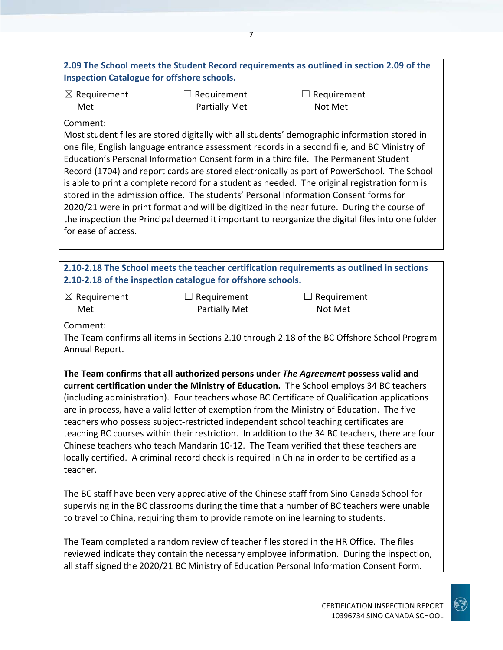## **2.09 The School meets the Student Record requirements as outlined in section 2.09 of the Inspection Catalogue for offshore schools.**

| $\boxtimes$ Requirement | $\Box$ Requirement | $\Box$ Requirement |
|-------------------------|--------------------|--------------------|
| Met                     | Partially Met      | Not Met            |

#### Comment:

Most student files are stored digitally with all students' demographic information stored in one file, English language entrance assessment records in a second file, and BC Ministry of Education's Personal Information Consent form in a third file. The Permanent Student Record (1704) and report cards are stored electronically as part of PowerSchool. The School is able to print a complete record for a student as needed. The original registration form is stored in the admission office. The students' Personal Information Consent forms for 2020/21 were in print format and will be digitized in the near future. During the course of the inspection the Principal deemed it important to reorganize the digital files into one folder for ease of access.

## **2.10-2.18 The School meets the teacher certification requirements as outlined in sections 2.10-2.18 of the inspection catalogue for offshore schools.**

| $\boxtimes$ Requirement | $\Box$ Requirement | $\Box$ Requirement |
|-------------------------|--------------------|--------------------|
| Met                     | Partially Met      | Not Met            |

Comment:

The Team confirms all items in Sections 2.10 through 2.18 of the BC Offshore School Program Annual Report.

**The Team confirms that all authorized persons under** *The Agreement* **possess valid and current certification under the Ministry of Education.** The School employs 34 BC teachers (including administration). Four teachers whose BC Certificate of Qualification applications are in process, have a valid letter of exemption from the Ministry of Education. The five teachers who possess subject-restricted independent school teaching certificates are teaching BC courses within their restriction. In addition to the 34 BC teachers, there are four Chinese teachers who teach Mandarin 10-12. The Team verified that these teachers are locally certified. A criminal record check is required in China in order to be certified as a teacher.

The BC staff have been very appreciative of the Chinese staff from Sino Canada School for supervising in the BC classrooms during the time that a number of BC teachers were unable to travel to China, requiring them to provide remote online learning to students.

The Team completed a random review of teacher files stored in the HR Office. The files reviewed indicate they contain the necessary employee information. During the inspection, all staff signed the 2020/21 BC Ministry of Education Personal Information Consent Form.

10396734 SINO CANADA SCHOOL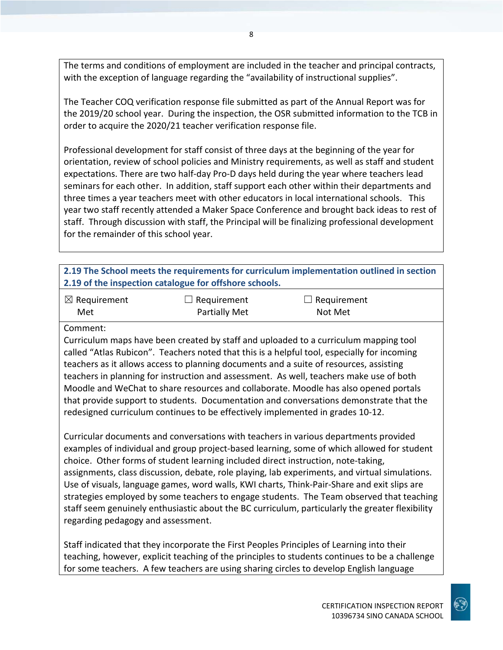The terms and conditions of employment are included in the teacher and principal contracts, with the exception of language regarding the "availability of instructional supplies".

The Teacher COQ verification response file submitted as part of the Annual Report was for the 2019/20 school year. During the inspection, the OSR submitted information to the TCB in order to acquire the 2020/21 teacher verification response file.

Professional development for staff consist of three days at the beginning of the year for orientation, review of school policies and Ministry requirements, as well as staff and student expectations. There are two half-day Pro-D days held during the year where teachers lead seminars for each other. In addition, staff support each other within their departments and three times a year teachers meet with other educators in local international schools. This year two staff recently attended a Maker Space Conference and brought back ideas to rest of staff. Through discussion with staff, the Principal will be finalizing professional development for the remainder of this school year.

| 2.19 The School meets the requirements for curriculum implementation outlined in section |
|------------------------------------------------------------------------------------------|
| 2.19 of the inspection catalogue for offshore schools.                                   |

| $\boxtimes$ Requirement | $\Box$ Requirement   | $\Box$ Requirement |
|-------------------------|----------------------|--------------------|
| Met                     | <b>Partially Met</b> | Not Met            |

Comment:

Curriculum maps have been created by staff and uploaded to a curriculum mapping tool called "Atlas Rubicon". Teachers noted that this is a helpful tool, especially for incoming teachers as it allows access to planning documents and a suite of resources, assisting teachers in planning for instruction and assessment. As well, teachers make use of both Moodle and WeChat to share resources and collaborate. Moodle has also opened portals that provide support to students. Documentation and conversations demonstrate that the redesigned curriculum continues to be effectively implemented in grades 10-12.

Curricular documents and conversations with teachers in various departments provided examples of individual and group project-based learning, some of which allowed for student choice. Other forms of student learning included direct instruction, note-taking, assignments, class discussion, debate, role playing, lab experiments, and virtual simulations. Use of visuals, language games, word walls, KWI charts, Think-Pair-Share and exit slips are strategies employed by some teachers to engage students. The Team observed that teaching staff seem genuinely enthusiastic about the BC curriculum, particularly the greater flexibility regarding pedagogy and assessment.

Staff indicated that they incorporate the First Peoples Principles of Learning into their teaching, however, explicit teaching of the principles to students continues to be a challenge for some teachers. A few teachers are using sharing circles to develop English language

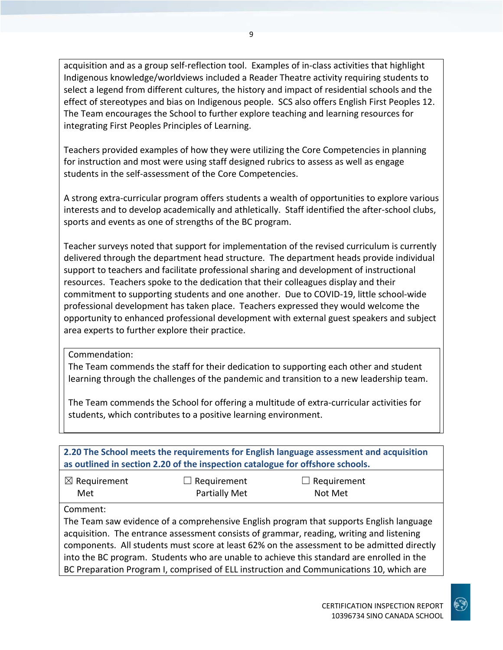acquisition and as a group self-reflection tool. Examples of in-class activities that highlight Indigenous knowledge/worldviews included a Reader Theatre activity requiring students to select a legend from different cultures, the history and impact of residential schools and the effect of stereotypes and bias on Indigenous people. SCS also offers English First Peoples 12. The Team encourages the School to further explore teaching and learning resources for integrating First Peoples Principles of Learning.

Teachers provided examples of how they were utilizing the Core Competencies in planning for instruction and most were using staff designed rubrics to assess as well as engage students in the self-assessment of the Core Competencies.

A strong extra-curricular program offers students a wealth of opportunities to explore various interests and to develop academically and athletically. Staff identified the after-school clubs, sports and events as one of strengths of the BC program.

Teacher surveys noted that support for implementation of the revised curriculum is currently delivered through the department head structure. The department heads provide individual support to teachers and facilitate professional sharing and development of instructional resources. Teachers spoke to the dedication that their colleagues display and their commitment to supporting students and one another. Due to COVID-19, little school-wide professional development has taken place. Teachers expressed they would welcome the opportunity to enhanced professional development with external guest speakers and subject area experts to further explore their practice.

Commendation:

The Team commends the staff for their dedication to supporting each other and student learning through the challenges of the pandemic and transition to a new leadership team.

The Team commends the School for offering a multitude of extra-curricular activities for students, which contributes to a positive learning environment.

| 2.20 The School meets the requirements for English language assessment and acquisition<br>as outlined in section 2.20 of the inspection catalogue for offshore schools. |                                                                                         |                               |  |  |
|-------------------------------------------------------------------------------------------------------------------------------------------------------------------------|-----------------------------------------------------------------------------------------|-------------------------------|--|--|
| $\boxtimes$ Requirement<br>Met                                                                                                                                          | $\Box$ Requirement<br>Partially Met                                                     | $\Box$ Requirement<br>Not Met |  |  |
| Comment:                                                                                                                                                                |                                                                                         |                               |  |  |
| The Team saw evidence of a comprehensive English program that supports English language                                                                                 |                                                                                         |                               |  |  |
| acquisition. The entrance assessment consists of grammar, reading, writing and listening                                                                                |                                                                                         |                               |  |  |
| components. All students must score at least 62% on the assessment to be admitted directly                                                                              |                                                                                         |                               |  |  |
| into the BC program. Students who are unable to achieve this standard are enrolled in the                                                                               |                                                                                         |                               |  |  |
|                                                                                                                                                                         | BC Preparation Program I, comprised of ELL instruction and Communications 10, which are |                               |  |  |

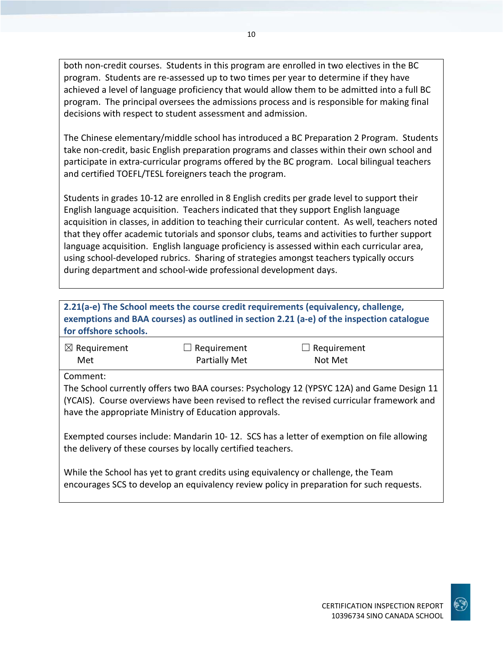both non-credit courses. Students in this program are enrolled in two electives in the BC program. Students are re-assessed up to two times per year to determine if they have achieved a level of language proficiency that would allow them to be admitted into a full BC program. The principal oversees the admissions process and is responsible for making final decisions with respect to student assessment and admission.

The Chinese elementary/middle school has introduced a BC Preparation 2 Program. Students take non-credit, basic English preparation programs and classes within their own school and participate in extra-curricular programs offered by the BC program. Local bilingual teachers and certified TOEFL/TESL foreigners teach the program.

Students in grades 10-12 are enrolled in 8 English credits per grade level to support their English language acquisition. Teachers indicated that they support English language acquisition in classes, in addition to teaching their curricular content. As well, teachers noted that they offer academic tutorials and sponsor clubs, teams and activities to further support language acquisition. English language proficiency is assessed within each curricular area, using school-developed rubrics. Sharing of strategies amongst teachers typically occurs during department and school-wide professional development days.

| 2.21(a-e) The School meets the course credit requirements (equivalency, challenge,<br>exemptions and BAA courses) as outlined in section 2.21 (a-e) of the inspection catalogue<br>for offshore schools.                                                      |               |                                                                                                                                                                                |  |
|---------------------------------------------------------------------------------------------------------------------------------------------------------------------------------------------------------------------------------------------------------------|---------------|--------------------------------------------------------------------------------------------------------------------------------------------------------------------------------|--|
| $\boxtimes$ Requirement                                                                                                                                                                                                                                       | Requirement   | Requirement                                                                                                                                                                    |  |
| Met                                                                                                                                                                                                                                                           | Partially Met | Not Met                                                                                                                                                                        |  |
| Comment:<br>The School currently offers two BAA courses: Psychology 12 (YPSYC 12A) and Game Design 11<br>(YCAIS). Course overviews have been revised to reflect the revised curricular framework and<br>have the appropriate Ministry of Education approvals. |               |                                                                                                                                                                                |  |
| Exempted courses include: Mandarin 10-12. SCS has a letter of exemption on file allowing<br>the delivery of these courses by locally certified teachers.                                                                                                      |               |                                                                                                                                                                                |  |
|                                                                                                                                                                                                                                                               |               | While the School has yet to grant credits using equivalency or challenge, the Team<br>encourages SCS to develop an equivalency review policy in preparation for such requests. |  |

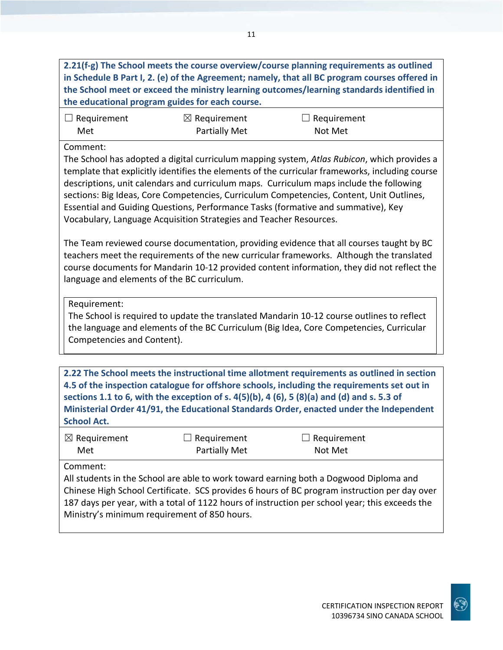**2.21(f-g) The School meets the course overview/course planning requirements as outlined in Schedule B Part I, 2. (e) of the Agreement; namely, that all BC program courses offered in the School meet or exceed the ministry learning outcomes/learning standards identified in the educational program guides for each course.**

| $\Box$ Requirement | $\boxtimes$ Requirement | $\Box$ Requirement |  |
|--------------------|-------------------------|--------------------|--|
| Met                | Partially Met           | Not Met            |  |

#### Comment:

The School has adopted a digital curriculum mapping system, *Atlas Rubicon*, which provides a template that explicitly identifies the elements of the curricular frameworks, including course descriptions, unit calendars and curriculum maps. Curriculum maps include the following sections: Big Ideas, Core Competencies, Curriculum Competencies, Content, Unit Outlines, Essential and Guiding Questions, Performance Tasks (formative and summative), Key Vocabulary, Language Acquisition Strategies and Teacher Resources.

The Team reviewed course documentation, providing evidence that all courses taught by BC teachers meet the requirements of the new curricular frameworks. Although the translated course documents for Mandarin 10-12 provided content information, they did not reflect the language and elements of the BC curriculum.

Requirement:

The School is required to update the translated Mandarin 10-12 course outlines to reflect the language and elements of the BC Curriculum (Big Idea, Core Competencies, Curricular Competencies and Content).

**2.22 The School meets the instructional time allotment requirements as outlined in section 4.5 of the inspection catalogue for offshore schools, including the requirements set out in sections 1.1 to 6, with the exception of s. 4(5)(b), 4 (6), 5 (8)(a) and (d) and s. 5.3 of Ministerial Order 41/91, the Educational Standards Order, enacted under the Independent School Act.**

| $\boxtimes$ Requirement | $\Box$ Requirement   | $\Box$ Requirement |
|-------------------------|----------------------|--------------------|
| Met                     | <b>Partially Met</b> | Not Met            |

#### Comment:

All students in the School are able to work toward earning both a Dogwood Diploma and Chinese High School Certificate. SCS provides 6 hours of BC program instruction per day over 187 days per year, with a total of 1122 hours of instruction per school year; this exceeds the Ministry's minimum requirement of 850 hours.

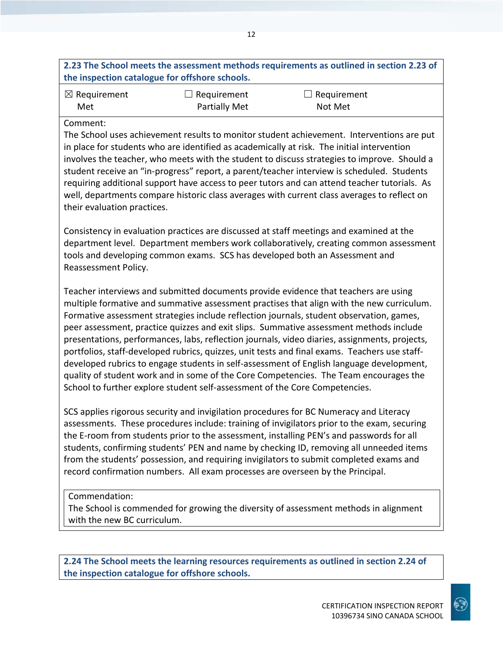## **2.23 The School meets the assessment methods requirements as outlined in section 2.23 of the inspection catalogue for offshore schools.**

12

| $\boxtimes$ Requirement | $\Box$ Requirement   | $\Box$ Requirement |
|-------------------------|----------------------|--------------------|
| Met                     | <b>Partially Met</b> | Not Met            |

#### Comment:

The School uses achievement results to monitor student achievement. Interventions are put in place for students who are identified as academically at risk. The initial intervention involves the teacher, who meets with the student to discuss strategies to improve. Should a student receive an "in-progress" report, a parent/teacher interview is scheduled. Students requiring additional support have access to peer tutors and can attend teacher tutorials. As well, departments compare historic class averages with current class averages to reflect on their evaluation practices.

Consistency in evaluation practices are discussed at staff meetings and examined at the department level. Department members work collaboratively, creating common assessment tools and developing common exams. SCS has developed both an Assessment and Reassessment Policy.

Teacher interviews and submitted documents provide evidence that teachers are using multiple formative and summative assessment practises that align with the new curriculum. Formative assessment strategies include reflection journals, student observation, games, peer assessment, practice quizzes and exit slips. Summative assessment methods include presentations, performances, labs, reflection journals, video diaries, assignments, projects, portfolios, staff-developed rubrics, quizzes, unit tests and final exams. Teachers use staffdeveloped rubrics to engage students in self-assessment of English language development, quality of student work and in some of the Core Competencies. The Team encourages the School to further explore student self-assessment of the Core Competencies.

SCS applies rigorous security and invigilation procedures for BC Numeracy and Literacy assessments. These procedures include: training of invigilators prior to the exam, securing the E-room from students prior to the assessment, installing PEN's and passwords for all students, confirming students' PEN and name by checking ID, removing all unneeded items from the students' possession, and requiring invigilators to submit completed exams and record confirmation numbers. All exam processes are overseen by the Principal.

#### Commendation:

The School is commended for growing the diversity of assessment methods in alignment with the new BC curriculum.

**2.24 The School meets the learning resources requirements as outlined in section 2.24 of the inspection catalogue for offshore schools.**

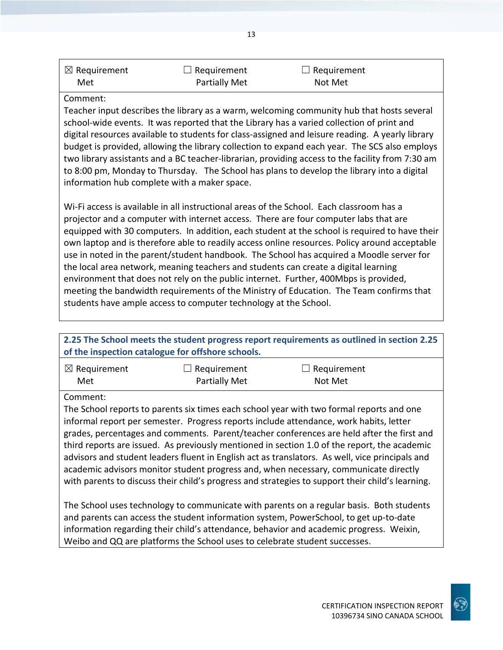| $\boxtimes$ Requirement | $\Box$ Requirement | $\Box$ Requirement |  |
|-------------------------|--------------------|--------------------|--|
| Met                     | Partially Met      | Not Met            |  |

#### Comment:

Teacher input describes the library as a warm, welcoming community hub that hosts several school-wide events. It was reported that the Library has a varied collection of print and digital resources available to students for class-assigned and leisure reading. A yearly library budget is provided, allowing the library collection to expand each year. The SCS also employs two library assistants and a BC teacher-librarian, providing access to the facility from 7:30 am to 8:00 pm, Monday to Thursday. The School has plans to develop the library into a digital information hub complete with a maker space.

Wi-Fi access is available in all instructional areas of the School. Each classroom has a projector and a computer with internet access. There are four computer labs that are equipped with 30 computers. In addition, each student at the school is required to have their own laptop and is therefore able to readily access online resources. Policy around acceptable use in noted in the parent/student handbook. The School has acquired a Moodle server for the local area network, meaning teachers and students can create a digital learning environment that does not rely on the public internet. Further, 400Mbps is provided, meeting the bandwidth requirements of the Ministry of Education. The Team confirms that students have ample access to computer technology at the School.

#### **2.25 The School meets the student progress report requirements as outlined in section 2.25 of the inspection catalogue for offshore schools.** ☒ Requirement Met  $\Box$  Requirement Partially Met  $\Box$  Requirement Not Met Comment: The School reports to parents six times each school year with two formal reports and one informal report per semester. Progress reports include attendance, work habits, letter grades, percentages and comments. Parent/teacher conferences are held after the first and third reports are issued. As previously mentioned in section 1.0 of the report, the academic advisors and student leaders fluent in English act as translators. As well, vice principals and

academic advisors monitor student progress and, when necessary, communicate directly with parents to discuss their child's progress and strategies to support their child's learning.

The School uses technology to communicate with parents on a regular basis. Both students and parents can access the student information system, PowerSchool, to get up-to-date information regarding their child's attendance, behavior and academic progress. Weixin, Weibo and QQ are platforms the School uses to celebrate student successes.

13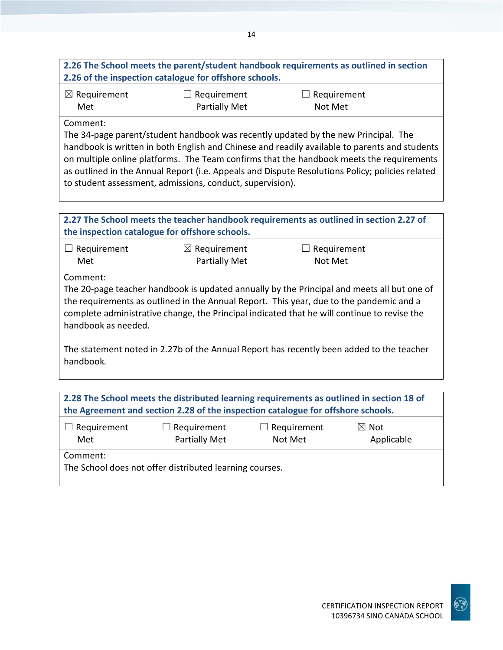## **2.26 The School meets the parent/student handbook requirements as outlined in section 2.26 of the inspection catalogue for offshore schools.**

| $\boxtimes$ Requirement | $\Box$ Requirement | $\Box$ Requirement |
|-------------------------|--------------------|--------------------|
| Met                     | Partially Met      | Not Met            |

Comment:

The 34-page parent/student handbook was recently updated by the new Principal. The handbook is written in both English and Chinese and readily available to parents and students on multiple online platforms. The Team confirms that the handbook meets the requirements as outlined in the Annual Report (i.e. Appeals and Dispute Resolutions Policy; policies related to student assessment, admissions, conduct, supervision).

| 2.27 The School meets the teacher handbook requirements as outlined in section 2.27 of<br>the inspection catalogue for offshore schools. |                         |                                                                                                                                                                                        |  |
|------------------------------------------------------------------------------------------------------------------------------------------|-------------------------|----------------------------------------------------------------------------------------------------------------------------------------------------------------------------------------|--|
| Requirement                                                                                                                              | $\boxtimes$ Requirement | Requirement                                                                                                                                                                            |  |
| Met                                                                                                                                      | <b>Partially Met</b>    | Not Met                                                                                                                                                                                |  |
| Comment:                                                                                                                                 |                         |                                                                                                                                                                                        |  |
|                                                                                                                                          |                         | The 20-page teacher handbook is updated annually by the Principal and meets all but one of                                                                                             |  |
| handbook as needed.                                                                                                                      |                         | the requirements as outlined in the Annual Report. This year, due to the pandemic and a<br>complete administrative change, the Principal indicated that he will continue to revise the |  |
| The statement noted in 2.27b of the Annual Report has recently been added to the teacher<br>handbook.                                    |                         |                                                                                                                                                                                        |  |
|                                                                                                                                          |                         |                                                                                                                                                                                        |  |
|                                                                                                                                          |                         | 2.28 The School meets the distributed learning requirements as outlined in section 18 of                                                                                               |  |
|                                                                                                                                          |                         | the Agreement and section 2.28 of the inspection catalogue for offshore schools.                                                                                                       |  |

| $\Box$ Requirement                                                  | $\Box$ Requirement   | $\Box$ Requirement | $\boxtimes$ Not |
|---------------------------------------------------------------------|----------------------|--------------------|-----------------|
| Met                                                                 | <b>Partially Met</b> | Not Met            | Applicable      |
| Comment:<br>The School does not offer distributed learning courses. |                      |                    |                 |